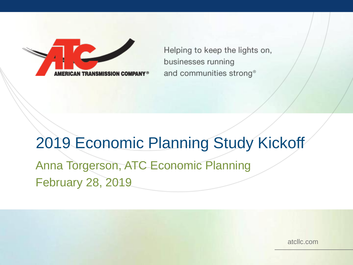Helping to keep the lights on, businesses running and communities strong<sup>®</sup>

# 2019 Economic Planning Study Kickoff Anna Torgerson, ATC Economic Planning February 28, 2019

atcllc.com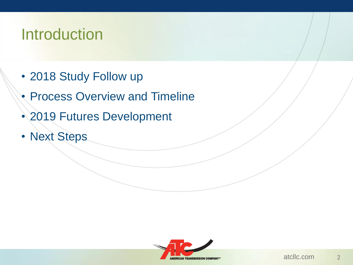## Introduction

- 2018 Study Follow up
- **Process Overview and Timeline**
- 2019 Futures Development
- Next Steps

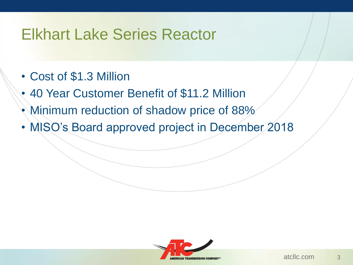## Elkhart Lake Series Reactor

- Cost of \$1.3 Million
- 40 Year Customer Benefit of \$11.2 Million
- Minimum reduction of shadow price of 88%
- MISO's Board approved project in December 2018

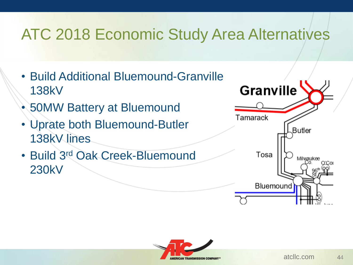# ATC 2018 Economic Study Area Alternatives

- Build Additional Bluemound-Granville 138kV
- 50MW Battery at Bluemound
- Uprate both Bluemound-Butler 138kV lines
- Build 3rd Oak Creek-Bluemound 230kV



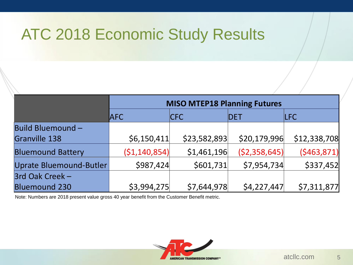# ATC 2018 Economic Study Results

|                          | <b>MISO MTEP18 Planning Futures</b> |              |                |               |  |  |  |
|--------------------------|-------------------------------------|--------------|----------------|---------------|--|--|--|
|                          | <b>AFC</b>                          | <b>CFC</b>   | <b>DET</b>     | LFC           |  |  |  |
| <b>Build Bluemound -</b> |                                     |              |                |               |  |  |  |
| <b>Granville 138</b>     | \$6,150,411                         | \$23,582,893 | \$20,179,996   | \$12,338,708  |  |  |  |
| <b>Bluemound Battery</b> | ( \$1,140,854)                      | \$1,461,196  | (52, 358, 645) | ( \$463, 871) |  |  |  |
| Uprate Bluemound-Butler  | \$987,424                           | \$601,731    | \$7,954,734    | \$337,452     |  |  |  |
| 3rd Oak Creek -          |                                     |              |                |               |  |  |  |
| <b>Bluemound 230</b>     | \$3,994,275                         | \$7,644,978  | \$4,227,447    | \$7,311,877   |  |  |  |

Note: Numbers are 2018 present value gross 40 year benefit from the Customer Benefit metric.

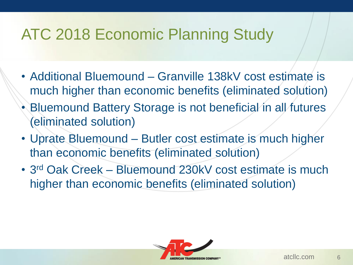# ATC 2018 Economic Planning Study

- Additional Bluemound Granville 138kV cost estimate is much higher than economic benefits (eliminated solution)
- Bluemound Battery Storage is not beneficial in all futures (eliminated solution)
- Uprate Bluemound Butler cost estimate is much higher than economic benefits (eliminated solution)
- 3 rd Oak Creek Bluemound 230kV cost estimate is much higher than economic benefits (eliminated solution)

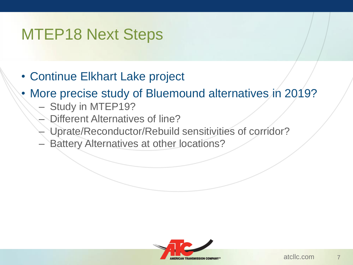## MTEP18 Next Steps

- Continue Elkhart Lake project
- More precise study of Bluemound alternatives in 2019?
	- Study in MTEP19?
	- Different Alternatives of line?
		- Uprate/Reconductor/Rebuild sensitivities of corridor?
	- Battery Alternatives at other locations?

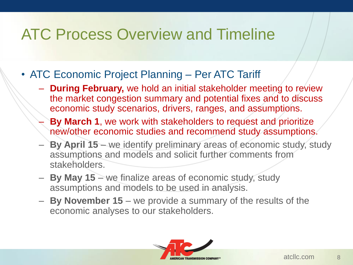## ATC Process Overview and Timeline

- ATC Economic Project Planning Per ATC Tariff
	- **During February,** we hold an initial stakeholder meeting to review the market congestion summary and potential fixes and to discuss economic study scenarios, drivers, ranges, and assumptions.
	- **By March 1**, we work with stakeholders to request and prioritize new/other economic studies and recommend study assumptions.
	- **By April 15**  we identify preliminary areas of economic study, study assumptions and models and solicit further comments from stakeholders.
	- **By May 15**  we finalize areas of economic study, study assumptions and models to be used in analysis.
	- **By November 15**  we provide a summary of the results of the economic analyses to our stakeholders.

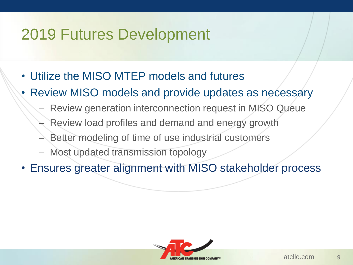## 2019 Futures Development

- Utilize the MISO MTEP models and futures
- Review MISO models and provide updates as necessary
	- Review generation interconnection request in MISO Queue
	- Review load profiles and demand and energy growth
	- Better modeling of time of use industrial customers
	- Most updated transmission topology
- Ensures greater alignment with MISO stakeholder process

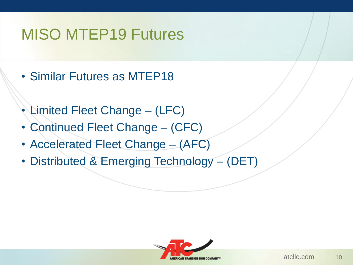# MISO MTEP19 Futures

- Similar Futures as MTEP18
- Limited Fleet Change (LFC)
- Continued Fleet Change (CFC)
- Accelerated Fleet Change (AFC)
- Distributed & Emerging Technology (DET)

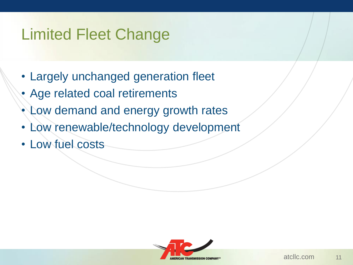# Limited Fleet Change

- Largely unchanged generation fleet
- Age related coal retirements
- Low demand and energy growth rates
- Low renewable/technology development
- Low fuel costs

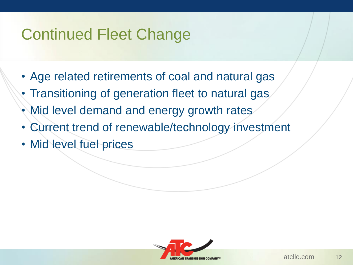# Continued Fleet Change

- Age related retirements of coal and natural gas
- Transitioning of generation fleet to natural gas
- Mid level demand and energy growth rates
- Current trend of renewable/technology investment
- Mid level fuel prices

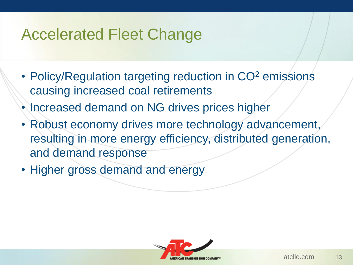## Accelerated Fleet Change

- Policy/Regulation targeting reduction in CO<sup>2</sup> emissions causing increased coal retirements
- Increased demand on NG drives prices higher
- Robust economy drives more technology advancement, resulting in more energy efficiency, distributed generation, and demand response
- Higher gross demand and energy

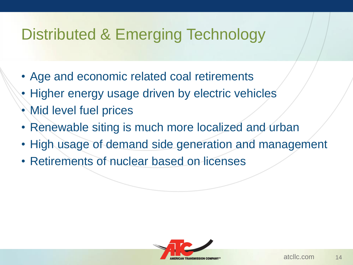# Distributed & Emerging Technology

- Age and economic related coal retirements
- Higher energy usage driven by electric vehicles
- Mid level fuel prices
- Renewable siting is much more localized and urban
- High usage of demand side generation and management
- Retirements of nuclear based on licenses

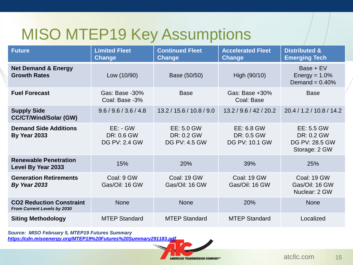# MISO MTEP19 Key Assumptions

| <b>Future</b>                                                  | <b>Limited Fleet</b><br><b>Change</b>            | <b>Continued Fleet</b><br><b>Change</b>          | <b>Accelerated Fleet</b><br><b>Change</b>         | <b>Distributed &amp;</b><br><b>Emerging Tech</b>            |
|----------------------------------------------------------------|--------------------------------------------------|--------------------------------------------------|---------------------------------------------------|-------------------------------------------------------------|
| <b>Net Demand &amp; Energy</b><br><b>Growth Rates</b>          | Low (10/90)                                      | Base (50/50)                                     | High (90/10)                                      | Base + EV<br>Energy = $1.0\%$<br>Demand = $0.40\%$          |
| <b>Fuel Forecast</b>                                           | Gas: Base -30%<br>Coal: Base -3%                 | <b>Base</b>                                      | Gas: Base +30%<br>Coal: Base                      | <b>Base</b>                                                 |
| <b>Supply Side</b><br><b>CC/CT/Wind/Solar (GW)</b>             | 9.6 / 9.6 / 3.6 / 4.8                            | 13.2 / 15.6 / 10.8 / 9.0                         | 13.2 / 9.6 / 42 / 20.2                            | 20.4 / 1.2 / 10.8 / 14.2                                    |
| <b>Demand Side Additions</b><br><b>By Year 2033</b>            | $EE: - GW$<br>DR: 0.6 GW<br><b>DG PV: 2.4 GW</b> | EE: 5.0 GW<br>DR: 0.2 GW<br><b>DG PV: 4.5 GW</b> | EE: 6.8 GW<br>DR: 0.5 GW<br><b>DG PV: 10.1 GW</b> | EE: 5.5 GW<br>DR: 0.2 GW<br>DG PV: 28.5 GW<br>Storage: 2 GW |
| <b>Renewable Penetration</b><br><b>Level By Year 2033</b>      | 15%                                              | 20%                                              | 39%                                               | 25%                                                         |
| <b>Generation Retirements</b><br><b>By Year 2033</b>           | Coal: 9 GW<br>Gas/Oil: 16 GW                     | Coal: 19 GW<br>Gas/Oil: 16 GW                    | <b>Coal: 19 GW</b><br>Gas/Oil: 16 GW              | Coal: 19 GW<br>Gas/Oil: 16 GW<br>Nuclear: 2 GW              |
| <b>CO2 Reduction Constraint</b><br>From Current Levels by 2030 | <b>None</b>                                      | <b>None</b>                                      | 20%                                               | <b>None</b>                                                 |
| <b>Siting Methodology</b>                                      | <b>MTEP Standard</b>                             | <b>MTEP Standard</b>                             | <b>MTEP Standard</b>                              | Localized                                                   |

*Source: MISO February 5, MTEP19 Futures Summary*

*[https://cdn.misoenergy.org/MTEP19%20Futures%20Summary291183.pdf](https://cdn.misoenergy.org/MTEP19 Futures Summary291183.pdf)*

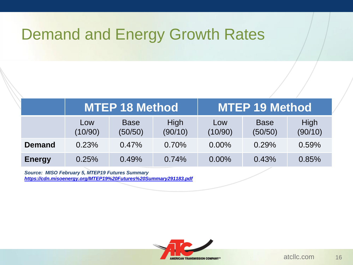# Demand and Energy Growth Rates

|               | <b>MTEP 18 Method</b> |                        |                 | <b>MTEP 19 Method</b> |                        |                 |
|---------------|-----------------------|------------------------|-----------------|-----------------------|------------------------|-----------------|
|               | Low<br>(10/90)        | <b>Base</b><br>(50/50) | High<br>(90/10) | Low<br>(10/90)        | <b>Base</b><br>(50/50) | High<br>(90/10) |
| <b>Demand</b> | 0.23%                 | 0.47%                  | 0.70%           | $0.00\%$              | 0.29%                  | 0.59%           |
| <b>Energy</b> | 0.25%                 | 0.49%                  | 0.74%           | $0.00\%$              | 0.43%                  | 0.85%           |

*Source: MISO February 5, MTEP19 Futures Summary [https://cdn.misoenergy.org/MTEP19%20Futures%20Summary291183.pdf](https://cdn.misoenergy.org/MTEP19 Futures Summary291183.pdf)*

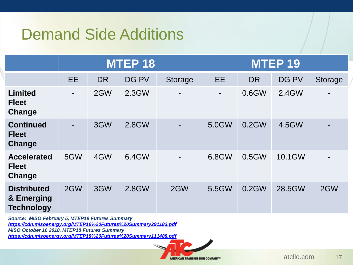# Demand Side Additions

|                                                       | <b>MTEP 18</b> |           |       | <b>MTEP 19</b> |                |           |        |                |
|-------------------------------------------------------|----------------|-----------|-------|----------------|----------------|-----------|--------|----------------|
|                                                       | EE             | <b>DR</b> | DG PV | <b>Storage</b> | <b>EE</b>      | <b>DR</b> | DG PV  | <b>Storage</b> |
| <b>Limited</b><br><b>Fleet</b><br>Change              | $\blacksquare$ | 2GW       | 2.3GW | -              | $\blacksquare$ | 0.6GW     | 2.4GW  |                |
| <b>Continued</b><br><b>Fleet</b><br>Change            | $\blacksquare$ | 3GW       | 2.8GW |                | 5.0GW          | $0.2$ GW  | 4.5GW  |                |
| <b>Accelerated</b><br><b>Fleet</b><br>Change          | 5GW            | 4GW       | 6.4GW |                | 6.8GW          | $0.5$ GW  | 10.1GW |                |
| <b>Distributed</b><br>& Emerging<br><b>Technology</b> | 2GW            | 3GW       | 2.8GW | 2GW            | 5.5GW          | $0.2$ GW  | 28.5GW | 2GW            |

*Source: MISO February 5, MTEP19 Futures Summary [https://cdn.misoenergy.org/MTEP19%20Futures%20Summary291183.pdf](https://cdn.misoenergy.org/MTEP19 Futures Summary291183.pdf) MISO October 16 2018, MTEP18 Futures Summary*

*[https://cdn.misoenergy.org/MTEP18%20Futures%20Summary111488.pdf](https://cdn.misoenergy.org/MTEP18 Futures Summary111488.pdf)*

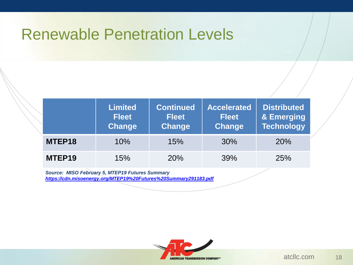### Renewable Penetration Levels

|                    | <b>Limited</b><br><b>Fleet</b><br><b>Change</b> | <b>Continued</b><br><b>Fleet</b><br><b>Change</b> | <b>Accelerated</b><br><b>Fleet</b><br><b>Change</b> | <b>Distributed</b><br>& Emerging<br><b>Technology</b> |
|--------------------|-------------------------------------------------|---------------------------------------------------|-----------------------------------------------------|-------------------------------------------------------|
| MTEP <sub>18</sub> | 10%                                             | 15%                                               | 30%                                                 | <b>20%</b>                                            |
| MTEP <sub>19</sub> | 15%                                             | 20%                                               | 39%                                                 | 25%                                                   |

*Source: MISO February 5, MTEP19 Futures Summary [https://cdn.misoenergy.org/MTEP19%20Futures%20Summary291183.pdf](https://cdn.misoenergy.org/MTEP19 Futures Summary291183.pdf)*

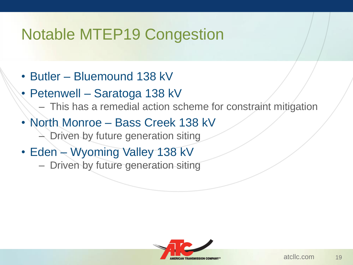# Notable MTEP19 Congestion

- Butler Bluemound 138 kV
- Petenwell Saratoga 138 kV
	- This has a remedial action scheme for constraint mitigation
- North Monroe Bass Creek 138 kV
	- Driven by future generation siting
- Eden Wyoming Valley 138 kV
	- Driven by future generation siting

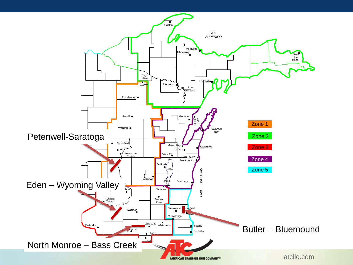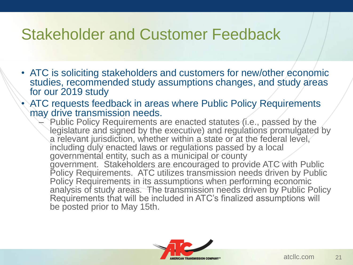## Stakeholder and Customer Feedback

- ATC is soliciting stakeholders and customers for new/other economic studies, recommended study assumptions changes, and study areas for our 2019 study
- ATC requests feedback in areas where Public Policy Requirements may drive transmission needs.
	- Public Policy Requirements are enacted statutes (i.e., passed by the legislature and signed by the executive) and regulations promulgated by a relevant jurisdiction, whether within a state or at the federal level, including duly enacted laws or regulations passed by a local governmental entity, such as a municipal or county government. Stakeholders are encouraged to provide ATC with Public Policy Requirements. ATC utilizes transmission needs driven by Public Policy Requirements in its assumptions when performing economic analysis of study areas. The transmission needs driven by Public Policy Requirements that will be included in ATC's finalized assumptions will be posted prior to May 15th.

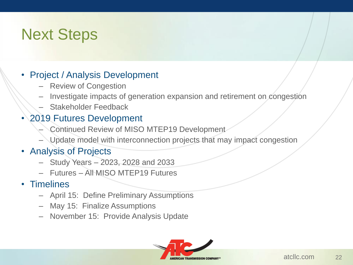# Next Steps

#### • Project / Analysis Development

- Review of Congestion
- Investigate impacts of generation expansion and retirement on congestion
- Stakeholder Feedback

#### • 2019 Futures Development

- Continued Review of MISO MTEP19 Development
- Update model with interconnection projects that may impact congestion
- Analysis of Projects
	- Study Years 2023, 2028 and 2033
	- Futures All MISO MTEP19 Futures

#### • Timelines

- April 15: Define Preliminary Assumptions
- May 15: Finalize Assumptions
- November 15: Provide Analysis Update

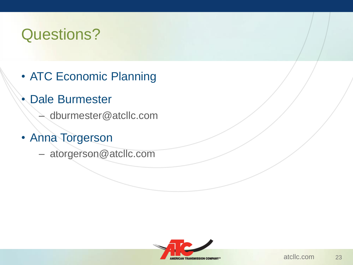# Questions?

- ATC Economic Planning
- Dale Burmester
	- dburmester@atcllc.com
- Anna Torgerson
	- atorgerson@atcllc.com